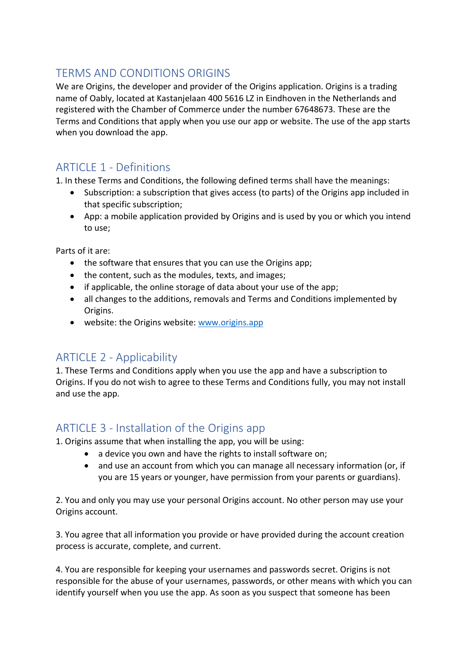# TERMS AND CONDITIONS ORIGINS

We are Origins, the developer and provider of the Origins application. Origins is a trading name of Oably, located at Kastanjelaan 400 5616 LZ in Eindhoven in the Netherlands and registered with the Chamber of Commerce under the number 67648673. These are the Terms and Conditions that apply when you use our app or website. The use of the app starts when you download the app.

# ARTICLE 1 - Definitions

1. In these Terms and Conditions, the following defined terms shall have the meanings:

- Subscription: a subscription that gives access (to parts) of the Origins app included in that specific subscription;
- App: a mobile application provided by Origins and is used by you or which you intend to use;

Parts of it are:

- the software that ensures that you can use the Origins app;
- the content, such as the modules, texts, and images;
- if applicable, the online storage of data about your use of the app;
- all changes to the additions, removals and Terms and Conditions implemented by Origins.
- website: the Origins website: [www.origins.app](http://www.origins.app/)

### ARTICLE 2 - Applicability

1. These Terms and Conditions apply when you use the app and have a subscription to Origins. If you do not wish to agree to these Terms and Conditions fully, you may not install and use the app.

### ARTICLE 3 - Installation of the Origins app

1. Origins assume that when installing the app, you will be using:

- a device you own and have the rights to install software on:
	- and use an account from which you can manage all necessary information (or, if you are 15 years or younger, have permission from your parents or guardians).

2. You and only you may use your personal Origins account. No other person may use your Origins account.

3. You agree that all information you provide or have provided during the account creation process is accurate, complete, and current.

4. You are responsible for keeping your usernames and passwords secret. Origins is not responsible for the abuse of your usernames, passwords, or other means with which you can identify yourself when you use the app. As soon as you suspect that someone has been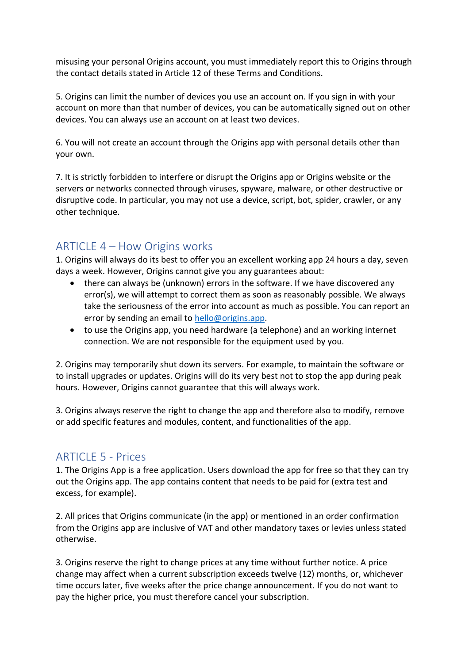misusing your personal Origins account, you must immediately report this to Origins through the contact details stated in Article 12 of these Terms and Conditions.

5. Origins can limit the number of devices you use an account on. If you sign in with your account on more than that number of devices, you can be automatically signed out on other devices. You can always use an account on at least two devices.

6. You will not create an account through the Origins app with personal details other than your own.

7. It is strictly forbidden to interfere or disrupt the Origins app or Origins website or the servers or networks connected through viruses, spyware, malware, or other destructive or disruptive code. In particular, you may not use a device, script, bot, spider, crawler, or any other technique.

# ARTICLE 4 – How Origins works

1. Origins will always do its best to offer you an excellent working app 24 hours a day, seven days a week. However, Origins cannot give you any guarantees about:

- there can always be (unknown) errors in the software. If we have discovered any error(s), we will attempt to correct them as soon as reasonably possible. We always take the seriousness of the error into account as much as possible. You can report an error by sending an email to [hello@origins.app.](mailto:hello@origins.app)
- to use the Origins app, you need hardware (a telephone) and an working internet connection. We are not responsible for the equipment used by you.

2. Origins may temporarily shut down its servers. For example, to maintain the software or to install upgrades or updates. Origins will do its very best not to stop the app during peak hours. However, Origins cannot guarantee that this will always work.

3. Origins always reserve the right to change the app and therefore also to modify, remove or add specific features and modules, content, and functionalities of the app.

#### ARTICLE 5 - Prices

1. The Origins App is a free application. Users download the app for free so that they can try out the Origins app. The app contains content that needs to be paid for (extra test and excess, for example).

2. All prices that Origins communicate (in the app) or mentioned in an order confirmation from the Origins app are inclusive of VAT and other mandatory taxes or levies unless stated otherwise.

3. Origins reserve the right to change prices at any time without further notice. A price change may affect when a current subscription exceeds twelve (12) months, or, whichever time occurs later, five weeks after the price change announcement. If you do not want to pay the higher price, you must therefore cancel your subscription.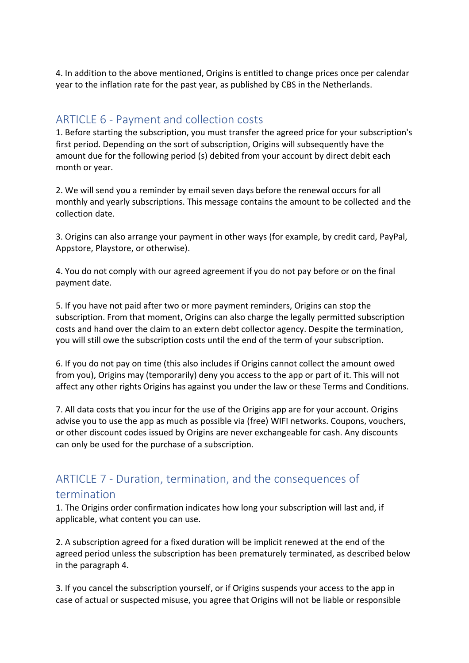4. In addition to the above mentioned, Origins is entitled to change prices once per calendar year to the inflation rate for the past year, as published by CBS in the Netherlands.

#### ARTICLE 6 - Payment and collection costs

1. Before starting the subscription, you must transfer the agreed price for your subscription's first period. Depending on the sort of subscription, Origins will subsequently have the amount due for the following period (s) debited from your account by direct debit each month or year.

2. We will send you a reminder by email seven days before the renewal occurs for all monthly and yearly subscriptions. This message contains the amount to be collected and the collection date.

3. Origins can also arrange your payment in other ways (for example, by credit card, PayPal, Appstore, Playstore, or otherwise).

4. You do not comply with our agreed agreement if you do not pay before or on the final payment date.

5. If you have not paid after two or more payment reminders, Origins can stop the subscription. From that moment, Origins can also charge the legally permitted subscription costs and hand over the claim to an extern debt collector agency. Despite the termination, you will still owe the subscription costs until the end of the term of your subscription.

6. If you do not pay on time (this also includes if Origins cannot collect the amount owed from you), Origins may (temporarily) deny you access to the app or part of it. This will not affect any other rights Origins has against you under the law or these Terms and Conditions.

7. All data costs that you incur for the use of the Origins app are for your account. Origins advise you to use the app as much as possible via (free) WIFI networks. Coupons, vouchers, or other discount codes issued by Origins are never exchangeable for cash. Any discounts can only be used for the purchase of a subscription.

#### ARTICLE 7 - Duration, termination, and the consequences of termination

1. The Origins order confirmation indicates how long your subscription will last and, if applicable, what content you can use.

2. A subscription agreed for a fixed duration will be implicit renewed at the end of the agreed period unless the subscription has been prematurely terminated, as described below in the paragraph 4.

3. If you cancel the subscription yourself, or if Origins suspends your access to the app in case of actual or suspected misuse, you agree that Origins will not be liable or responsible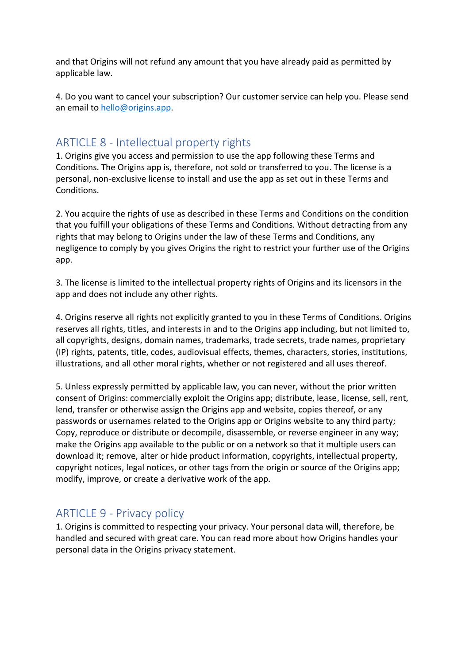and that Origins will not refund any amount that you have already paid as permitted by applicable law.

4. Do you want to cancel your subscription? Our customer service can help you. Please send an email to [hello@origins.app.](mailto:hello@origins.app)

### ARTICLE 8 - Intellectual property rights

1. Origins give you access and permission to use the app following these Terms and Conditions. The Origins app is, therefore, not sold or transferred to you. The license is a personal, non-exclusive license to install and use the app as set out in these Terms and Conditions.

2. You acquire the rights of use as described in these Terms and Conditions on the condition that you fulfill your obligations of these Terms and Conditions. Without detracting from any rights that may belong to Origins under the law of these Terms and Conditions, any negligence to comply by you gives Origins the right to restrict your further use of the Origins app.

3. The license is limited to the intellectual property rights of Origins and its licensors in the app and does not include any other rights.

4. Origins reserve all rights not explicitly granted to you in these Terms of Conditions. Origins reserves all rights, titles, and interests in and to the Origins app including, but not limited to, all copyrights, designs, domain names, trademarks, trade secrets, trade names, proprietary (IP) rights, patents, title, codes, audiovisual effects, themes, characters, stories, institutions, illustrations, and all other moral rights, whether or not registered and all uses thereof.

5. Unless expressly permitted by applicable law, you can never, without the prior written consent of Origins: commercially exploit the Origins app; distribute, lease, license, sell, rent, lend, transfer or otherwise assign the Origins app and website, copies thereof, or any passwords or usernames related to the Origins app or Origins website to any third party; Copy, reproduce or distribute or decompile, disassemble, or reverse engineer in any way; make the Origins app available to the public or on a network so that it multiple users can download it; remove, alter or hide product information, copyrights, intellectual property, copyright notices, legal notices, or other tags from the origin or source of the Origins app; modify, improve, or create a derivative work of the app.

### ARTICLE 9 - Privacy policy

1. Origins is committed to respecting your privacy. Your personal data will, therefore, be handled and secured with great care. You can read more about how Origins handles your personal data in the Origins privacy statement.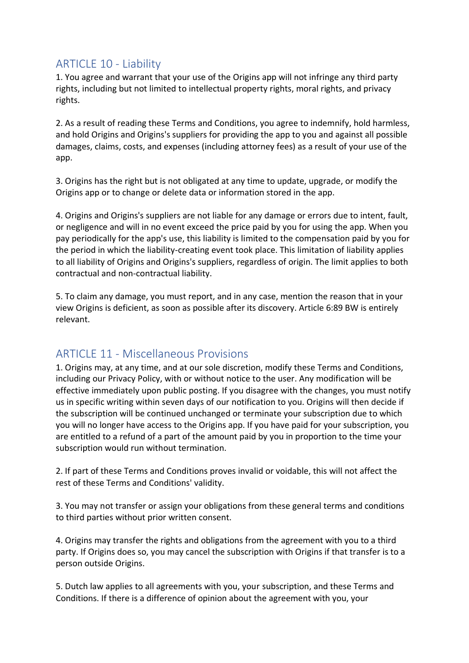### ARTICLE 10 - Liability

1. You agree and warrant that your use of the Origins app will not infringe any third party rights, including but not limited to intellectual property rights, moral rights, and privacy rights.

2. As a result of reading these Terms and Conditions, you agree to indemnify, hold harmless, and hold Origins and Origins's suppliers for providing the app to you and against all possible damages, claims, costs, and expenses (including attorney fees) as a result of your use of the app.

3. Origins has the right but is not obligated at any time to update, upgrade, or modify the Origins app or to change or delete data or information stored in the app.

4. Origins and Origins's suppliers are not liable for any damage or errors due to intent, fault, or negligence and will in no event exceed the price paid by you for using the app. When you pay periodically for the app's use, this liability is limited to the compensation paid by you for the period in which the liability-creating event took place. This limitation of liability applies to all liability of Origins and Origins's suppliers, regardless of origin. The limit applies to both contractual and non-contractual liability.

5. To claim any damage, you must report, and in any case, mention the reason that in your view Origins is deficient, as soon as possible after its discovery. Article 6:89 BW is entirely relevant.

# ARTICLE 11 - Miscellaneous Provisions

1. Origins may, at any time, and at our sole discretion, modify these Terms and Conditions, including our Privacy Policy, with or without notice to the user. Any modification will be effective immediately upon public posting. If you disagree with the changes, you must notify us in specific writing within seven days of our notification to you. Origins will then decide if the subscription will be continued unchanged or terminate your subscription due to which you will no longer have access to the Origins app. If you have paid for your subscription, you are entitled to a refund of a part of the amount paid by you in proportion to the time your subscription would run without termination.

2. If part of these Terms and Conditions proves invalid or voidable, this will not affect the rest of these Terms and Conditions' validity.

3. You may not transfer or assign your obligations from these general terms and conditions to third parties without prior written consent.

4. Origins may transfer the rights and obligations from the agreement with you to a third party. If Origins does so, you may cancel the subscription with Origins if that transfer is to a person outside Origins.

5. Dutch law applies to all agreements with you, your subscription, and these Terms and Conditions. If there is a difference of opinion about the agreement with you, your